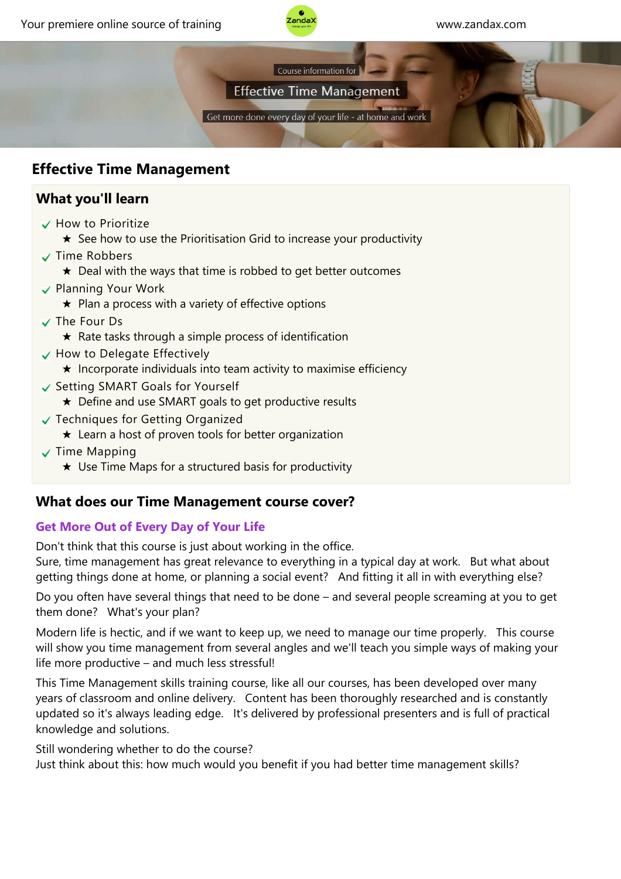



**Effective Time Management** 

Get more done every day of your life - at home and work

## **Effective Time Management**

## **What you'll learn**

- $\checkmark$  How to Prioritize
	- $\star$  See how to use the Prioritisation Grid to increase your productivity
- $\checkmark$  Time Robbers
	- $\star$  Deal with the ways that time is robbed to get better outcomes
- $\checkmark$  Planning Your Work
	- $\star$  Plan a process with a variety of effective options
- The Four Ds
	- $\star$  Rate tasks through a simple process of identification
- $\checkmark$  How to Delegate Effectively
	- $\star$  Incorporate individuals into team activity to maximise efficiency
- ↓ Setting SMART Goals for Yourself
	- ★ Define and use SMART goals to get productive results
- Techniques for Getting Organized
	- $\star$  Learn a host of proven tools for better organization
- $\sqrt{}$  Time Mapping
	- $\star$  Use Time Maps for a structured basis for productivity

# **What does our Time Management course cover?**

## **Get More Out of Every Day of Your Life**

Don't think that this course is just about working in the office.

Sure, time management has great relevance to everything in a typical day at work. But what about getting things done at home, or planning a social event? And fitting it all in with everything else?

Do you often have several things that need to be done – and several people screaming at you to get them done? What's your plan?

Modern life is hectic, and if we want to keep up, we need to manage our time properly. This course will show you time management from several angles and we'll teach you simple ways of making your life more productive – and much less stressful!

This Time Management skills training course, like all our courses, has been developed over many years of classroom and online delivery. Content has been thoroughly researched and is constantly updated so it's always leading edge. It's delivered by professional presenters and is full of practical knowledge and solutions.

Still wondering whether to do the course?

Just think about this: how much would you benefit if you had better time management skills?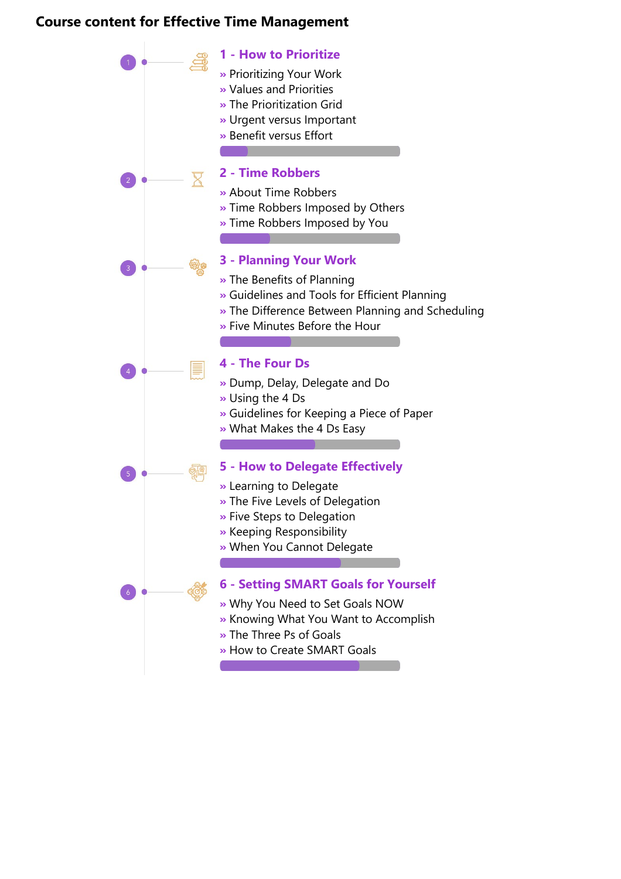#### **Course content for Effective Time Management**

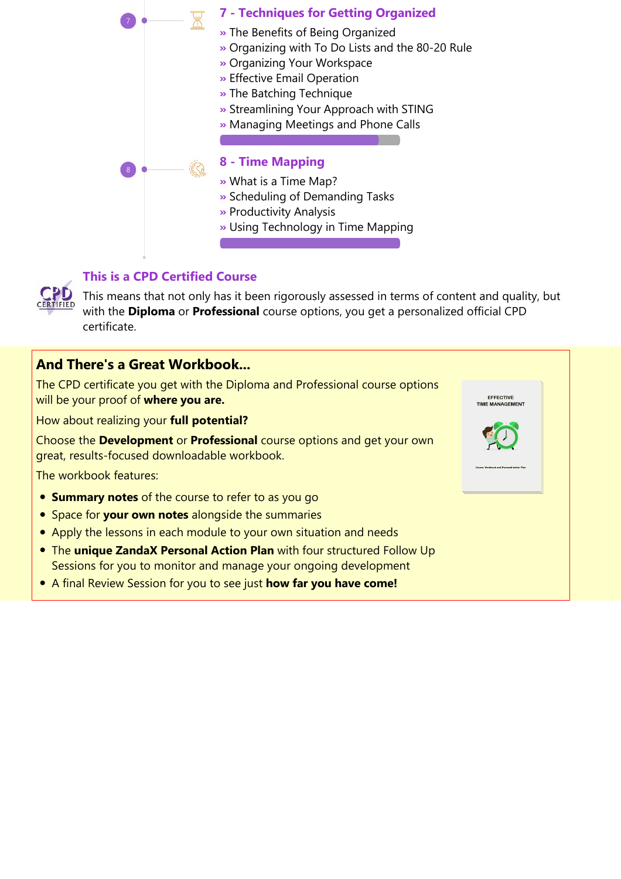



#### **This is a CPD Certified Course**

This means that not only has it been rigorously assessed in terms of content and quality, but with the **Diploma** or **Professional** course options, you get a personalized official CPD certificate.

### **And There's a Great Workbook...**

The CPD certificate you get with the Diploma and Professional course options. will be your proof of **where you are.**

How about realizing your **full potential?**

Choose the **Development** or **Professional** course options and get your o great, results‐focused downloadable workbook.

The workbook features:

- **Summary notes** of the course to refer to as you go
- **•** Space for **your own notes** alongside the summaries
- Apply the lessons in each module to your own situation and needs
- **The unique ZandaX Personal Action Plan** with four structured Follow Up Sessions for you to monitor and manage your ongoing development
- A final Review Session for you to see just **how far you have come!**

| tions |                                            |
|-------|--------------------------------------------|
|       | <b>EFFECTIVE</b><br><b>TIME MANAGEMENT</b> |
| own   |                                            |
|       | Course Workbook and Personal Action Plan   |
|       |                                            |
|       |                                            |
|       |                                            |
|       |                                            |